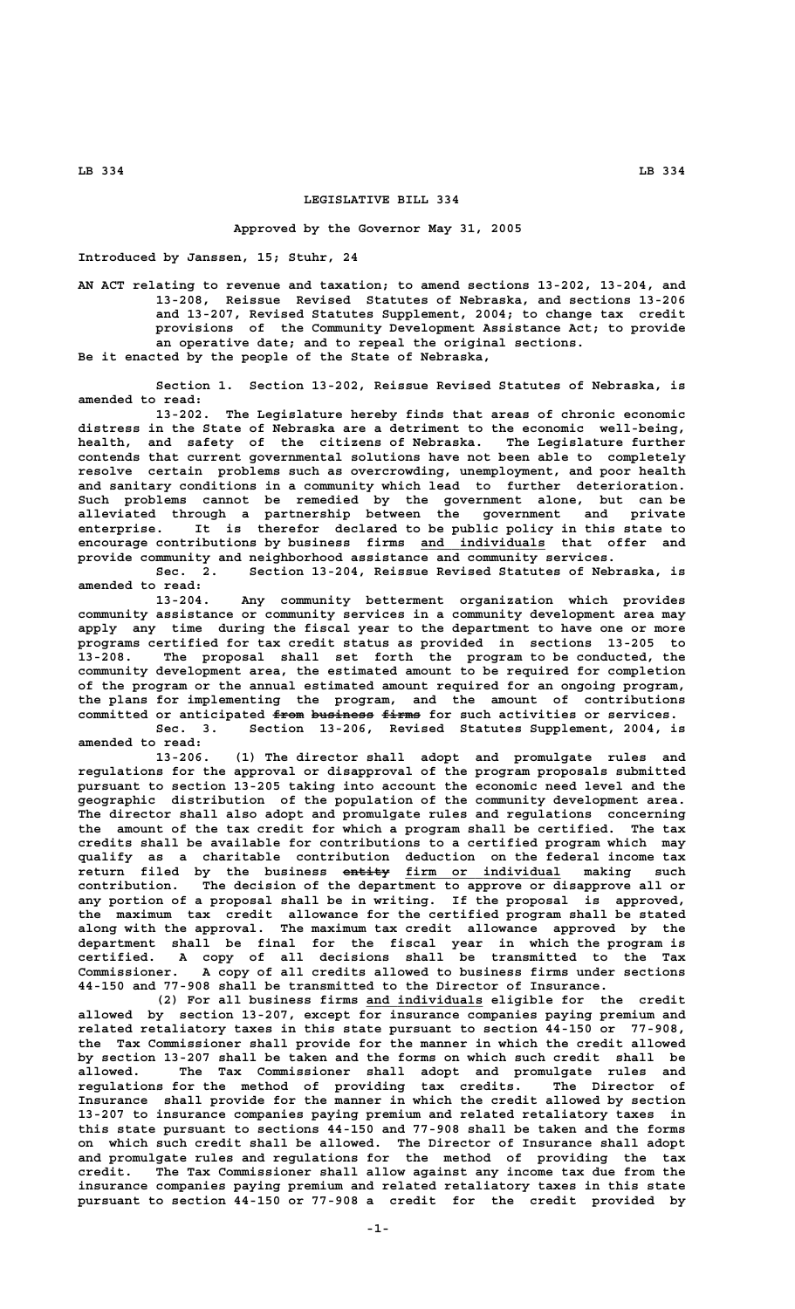## **LEGISLATIVE BILL 334**

## **Approved by the Governor May 31, 2005**

**Introduced by Janssen, 15; Stuhr, 24**

**AN ACT relating to revenue and taxation; to amend sections 13-202, 13-204, and 13-208, Reissue Revised Statutes of Nebraska, and sections 13-206 and 13-207, Revised Statutes Supplement, 2004; to change tax credit provisions of the Community Development Assistance Act; to provide an operative date; and to repeal the original sections. Be it enacted by the people of the State of Nebraska,**

**Section 1. Section 13-202, Reissue Revised Statutes of Nebraska, is amended to read:**

**13-202. The Legislature hereby finds that areas of chronic economic distress in the State of Nebraska are a detriment to the economic well-being, health, and safety of the citizens of Nebraska. The Legislature further contends that current governmental solutions have not been able to completely resolve certain problems such as overcrowding, unemployment, and poor health and sanitary conditions in a community which lead to further deterioration. Such problems cannot be remedied by the government alone, but can be alleviated through a partnership between the government and private enterprise. It is therefor declared to be public policy in this state to** encourage contributions by business firms and individuals that offer and **provide community and neighborhood assistance and community services.**

**Sec. 2. Section 13-204, Reissue Revised Statutes of Nebraska, is amended to read:**

**13-204. Any community betterment organization which provides community assistance or community services in a community development area may apply any time during the fiscal year to the department to have one or more programs certified for tax credit status as provided in sections 13-205 to 13-208. The proposal shall set forth the program to be conducted, the community development area, the estimated amount to be required for completion of the program or the annual estimated amount required for an ongoing program, the plans for implementing the program, and the amount of contributions** committed or anticipated <del>from business firms</del> for such activities or services.

**Sec. 3. Section 13-206, Revised Statutes Supplement, 2004, is amended to read:**

**13-206. (1) The director shall adopt and promulgate rules and regulations for the approval or disapproval of the program proposals submitted pursuant to section 13-205 taking into account the economic need level and the geographic distribution of the population of the community development area. The director shall also adopt and promulgate rules and regulations concerning the amount of the tax credit for which a program shall be certified. The tax credits shall be available for contributions to a certified program which may qualify as a charitable contribution deduction on the federal income tax —————— \_\_\_\_\_\_\_\_\_\_\_\_\_\_\_\_\_\_\_\_ return filed by the business entity firm or individual making such contribution. The decision of the department to approve or disapprove all or any portion of a proposal shall be in writing. If the proposal is approved, the maximum tax credit allowance for the certified program shall be stated along with the approval. The maximum tax credit allowance approved by the department shall be final for the fiscal year in which the program is certified. A copy of all decisions shall be transmitted to the Tax Commissioner. A copy of all credits allowed to business firms under sections 44-150 and 77-908 shall be transmitted to the Director of Insurance.**

 **\_\_\_\_\_\_\_\_\_\_\_\_\_\_\_ (2) For all business firms and individuals eligible for the credit allowed by section 13-207, except for insurance companies paying premium and related retaliatory taxes in this state pursuant to section 44-150 or 77-908, the Tax Commissioner shall provide for the manner in which the credit allowed by section 13-207 shall be taken and the forms on which such credit shall be allowed. The Tax Commissioner shall adopt and promulgate rules and regulations for the method of providing tax credits. The Director of Insurance shall provide for the manner in which the credit allowed by section 13-207 to insurance companies paying premium and related retaliatory taxes in this state pursuant to sections 44-150 and 77-908 shall be taken and the forms on which such credit shall be allowed. The Director of Insurance shall adopt and promulgate rules and regulations for the method of providing the tax credit. The Tax Commissioner shall allow against any income tax due from the insurance companies paying premium and related retaliatory taxes in this state pursuant to section 44-150 or 77-908 a credit for the credit provided by**